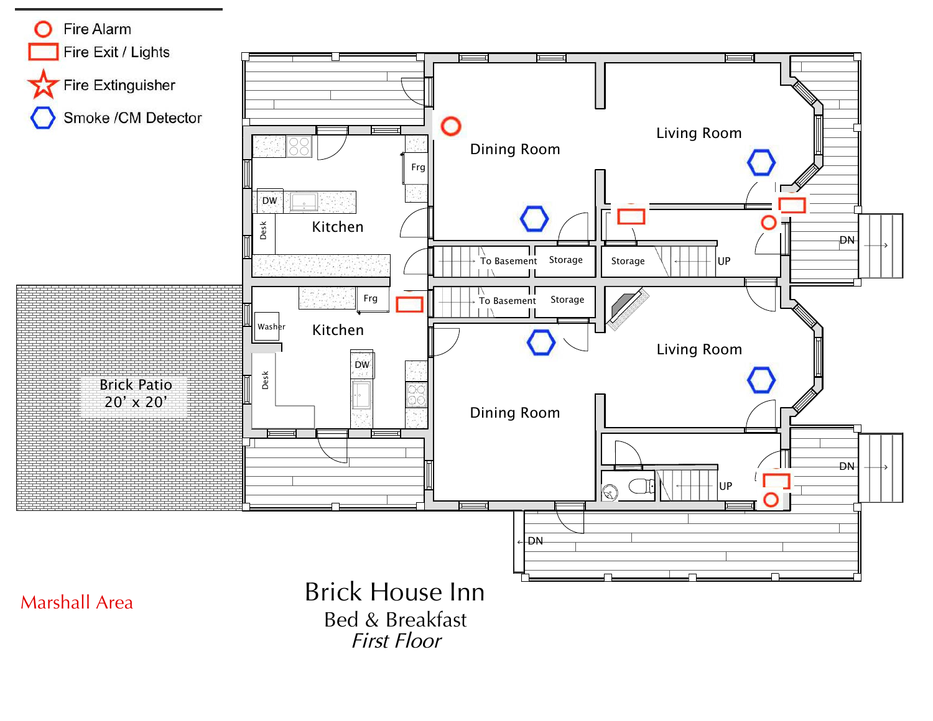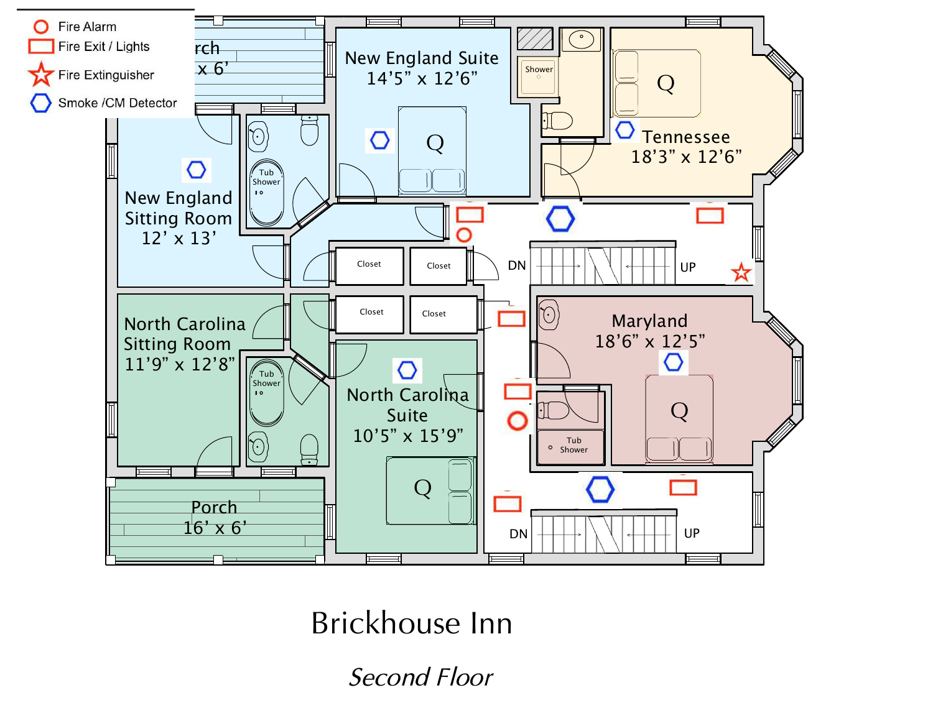

Brickhouse Inn

*Second Floor*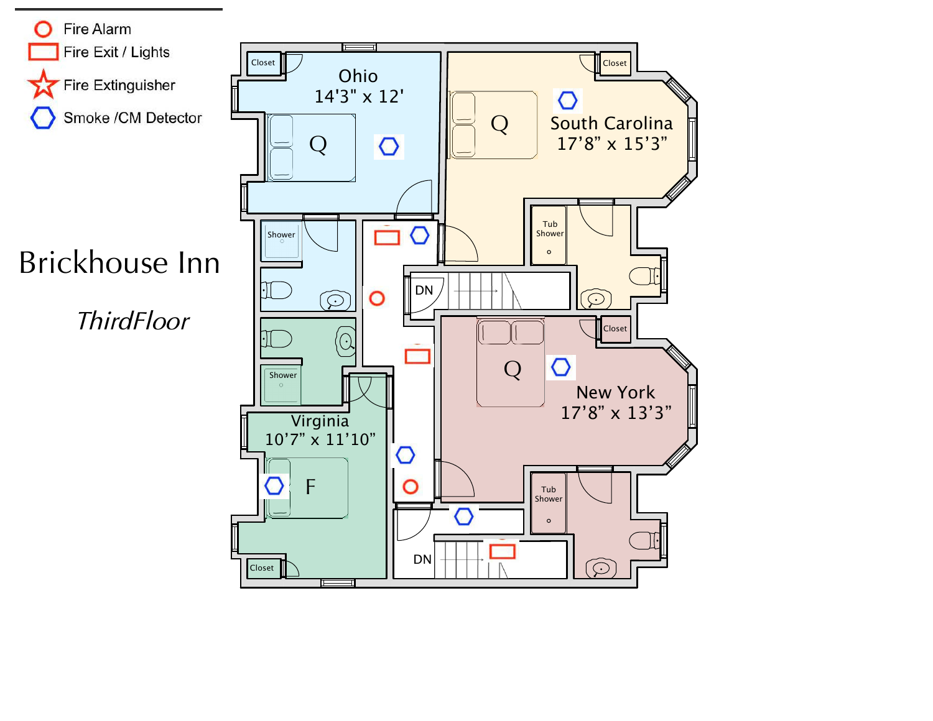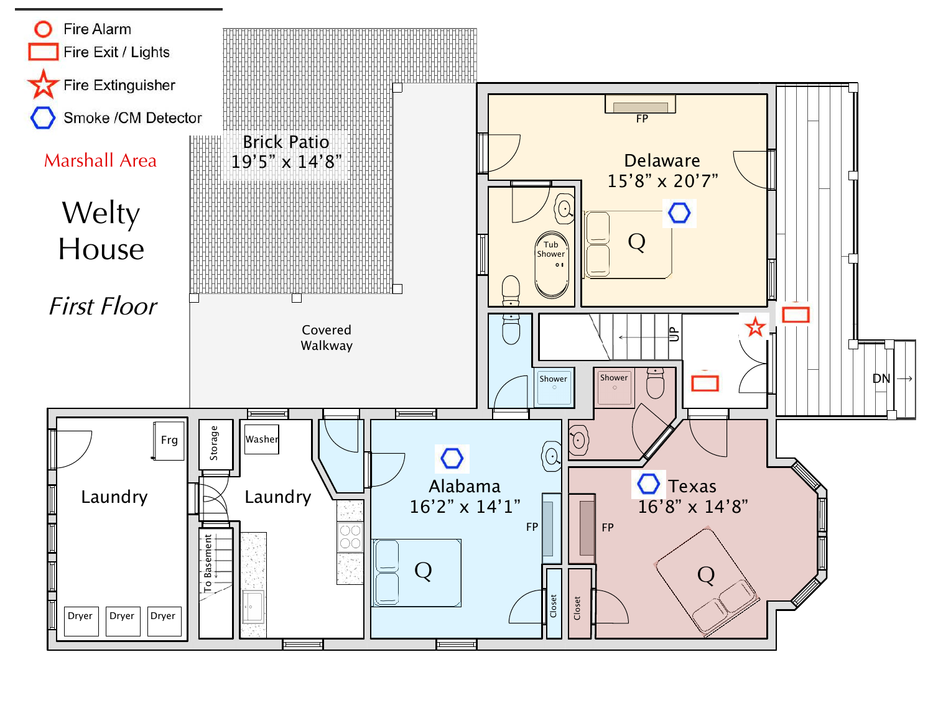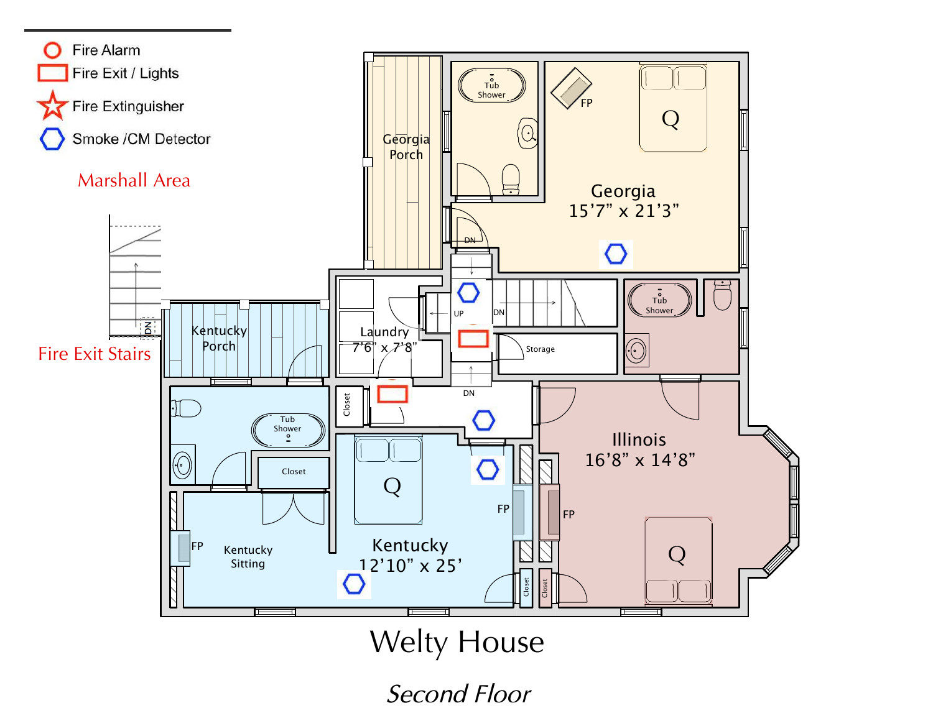

*Second Floor*